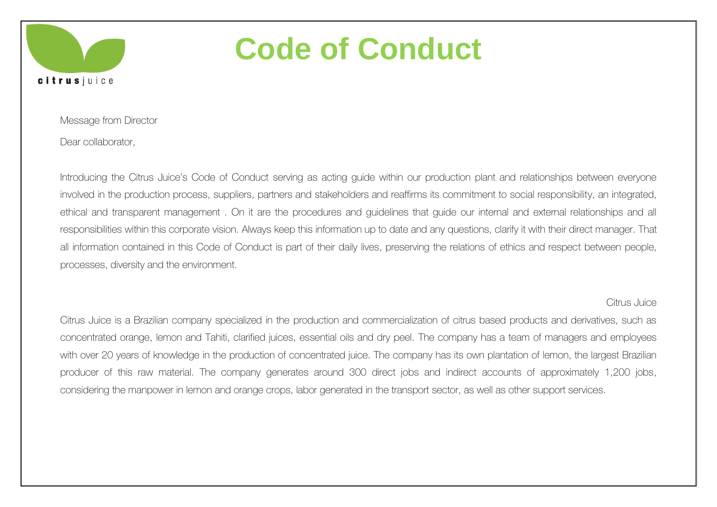

Message from Director

Dear collaborator,

Introducing the Citrus Juice's Code of Conduct serving as acting guide within our production plant and relationships between everyone involved in the production process, suppliers, partners and stakeholders and reaffirms its commitment to social responsibility, an integrated, ethical and transparent management . On it are the procedures and guidelines that guide our internal and external relationships and all responsibilities within this corporate vision. Always keep this information up to date and any questions, clarify it with their direct manager. That all information contained in this Code of Conduct is part of their daily lives, preserving the relations of ethics and respect between people, processes, diversity and the environment.

#### Citrus Juice

Citrus Juice is a Brazilian company specialized in the production and commercialization of citrus based products and derivatives, such as concentrated orange, lemon and Tahiti, clarified juices, essential oils and dry peel. The company has a team of managers and employees with over 20 years of knowledge in the production of concentrated juice. The company has its own plantation of lemon, the largest Brazilian producer of this raw material. The company generates around 300 direct jobs and indirect accounts of approximately 1,200 jobs, considering the manpower in lemon and orange crops, labor generated in the transport sector, as well as other support services.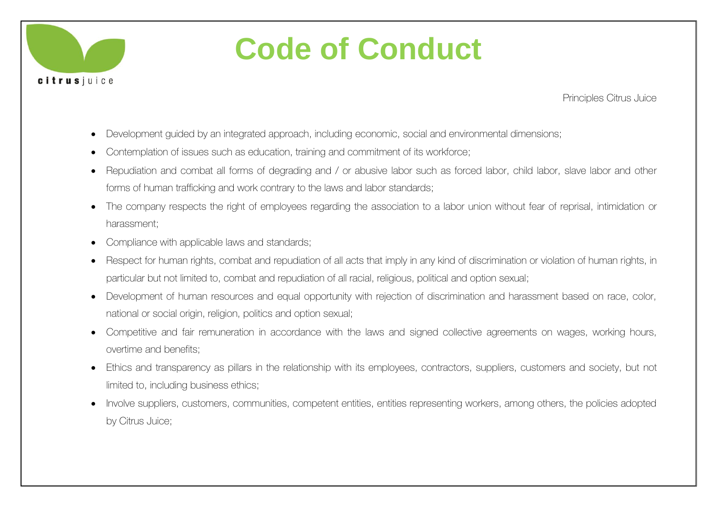

Principles Citrus Juice

- Development guided by an integrated approach, including economic, social and environmental dimensions;
- Contemplation of issues such as education, training and commitment of its workforce;
- Repudiation and combat all forms of degrading and / or abusive labor such as forced labor, child labor, slave labor and other forms of human trafficking and work contrary to the laws and labor standards;
- The company respects the right of employees regarding the association to a labor union without fear of reprisal, intimidation or harassment;
- Compliance with applicable laws and standards;
- Respect for human rights, combat and repudiation of all acts that imply in any kind of discrimination or violation of human rights, in particular but not limited to, combat and repudiation of all racial, religious, political and option sexual;
- Development of human resources and equal opportunity with rejection of discrimination and harassment based on race, color, national or social origin, religion, politics and option sexual;
- Competitive and fair remuneration in accordance with the laws and signed collective agreements on wages, working hours, overtime and benefits;
- Ethics and transparency as pillars in the relationship with its employees, contractors, suppliers, customers and society, but not limited to, including business ethics;
- Involve suppliers, customers, communities, competent entities, entities representing workers, among others, the policies adopted by Citrus Juice;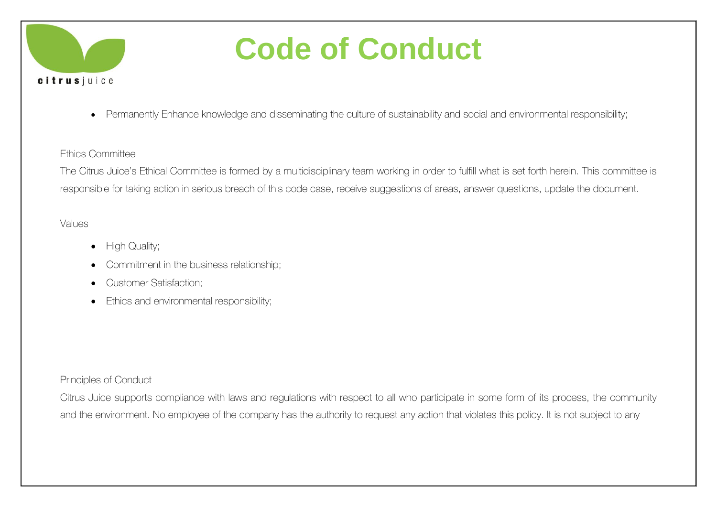

Permanently Enhance knowledge and disseminating the culture of sustainability and social and environmental responsibility;

#### Ethics Committee

The Citrus Juice's Ethical Committee is formed by a multidisciplinary team working in order to fulfill what is set forth herein. This committee is responsible for taking action in serious breach of this code case, receive suggestions of areas, answer questions, update the document.

#### **Values**

- High Quality;
- Commitment in the business relationship;
- Customer Satisfaction:
- Ethics and environmental responsibility;

#### Principles of Conduct

Citrus Juice supports compliance with laws and regulations with respect to all who participate in some form of its process, the community and the environment. No employee of the company has the authority to request any action that violates this policy. It is not subject to any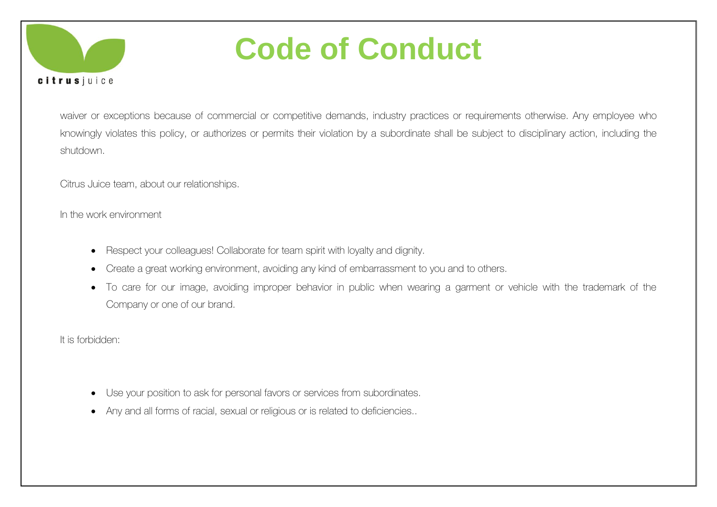

waiver or exceptions because of commercial or competitive demands, industry practices or requirements otherwise. Any employee who knowingly violates this policy, or authorizes or permits their violation by a subordinate shall be subject to disciplinary action, including the shutdown.

Citrus Juice team, about our relationships.

In the work environment

- Respect your colleagues! Collaborate for team spirit with loyalty and dignity.
- Create a great working environment, avoiding any kind of embarrassment to you and to others.
- To care for our image, avoiding improper behavior in public when wearing a garment or vehicle with the trademark of the Company or one of our brand.

It is forbidden:

- Use your position to ask for personal favors or services from subordinates.
- Any and all forms of racial, sexual or religious or is related to deficiencies..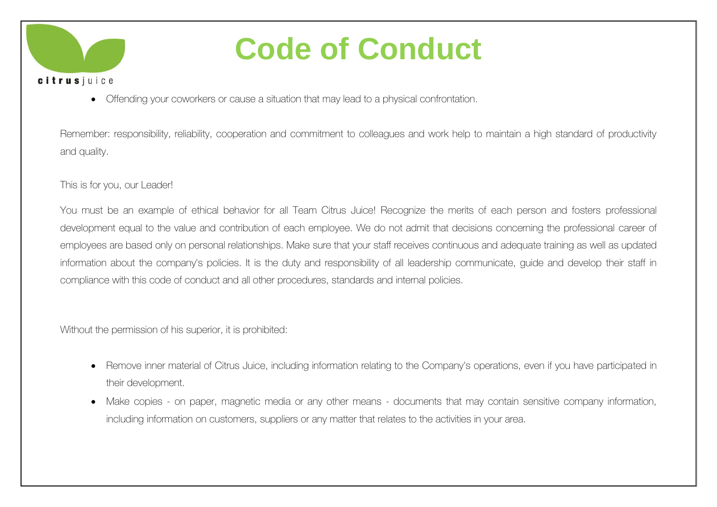

Offending your coworkers or cause a situation that may lead to a physical confrontation.

Remember: responsibility, reliability, cooperation and commitment to colleagues and work help to maintain a high standard of productivity and quality.

#### This is for you, our Leader!

You must be an example of ethical behavior for all Team Citrus Juice! Recognize the merits of each person and fosters professional development equal to the value and contribution of each employee. We do not admit that decisions concerning the professional career of employees are based only on personal relationships. Make sure that your staff receives continuous and adequate training as well as updated information about the company's policies. It is the duty and responsibility of all leadership communicate, guide and develop their staff in compliance with this code of conduct and all other procedures, standards and internal policies.

Without the permission of his superior, it is prohibited:

- Remove inner material of Citrus Juice, including information relating to the Company's operations, even if you have participated in their development.
- Make copies on paper, magnetic media or any other means documents that may contain sensitive company information, including information on customers, suppliers or any matter that relates to the activities in your area.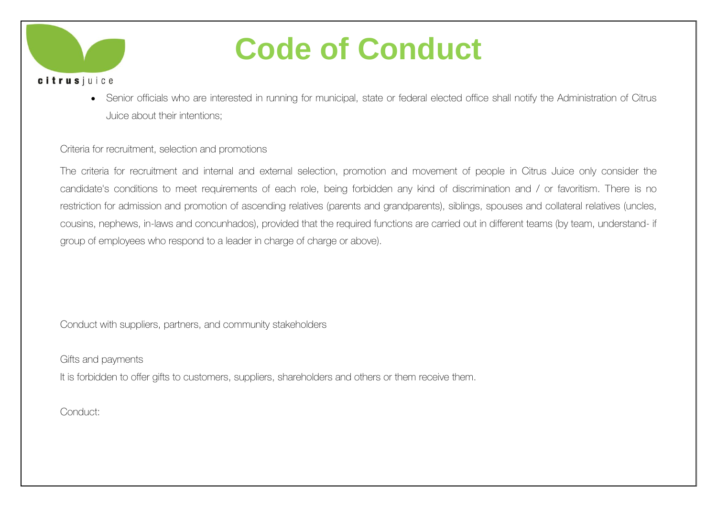

 Senior officials who are interested in running for municipal, state or federal elected office shall notify the Administration of Citrus Juice about their intentions;

#### Criteria for recruitment, selection and promotions

The criteria for recruitment and internal and external selection, promotion and movement of people in Citrus Juice only consider the candidate's conditions to meet requirements of each role, being forbidden any kind of discrimination and / or favoritism. There is no restriction for admission and promotion of ascending relatives (parents and grandparents), siblings, spouses and collateral relatives (uncles, cousins, nephews, in-laws and concunhados), provided that the required functions are carried out in different teams (by team, understand- if group of employees who respond to a leader in charge of charge or above).

Conduct with suppliers, partners, and community stakeholders

Gifts and payments

It is forbidden to offer gifts to customers, suppliers, shareholders and others or them receive them.

Conduct: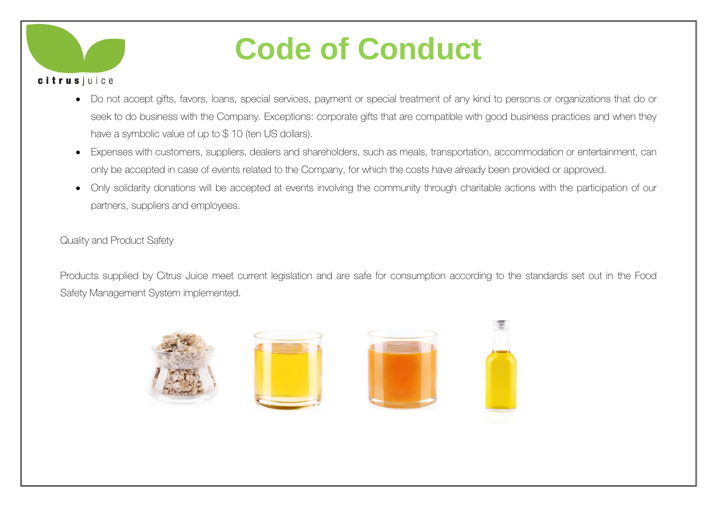

- Do not accept gifts, favors, loans, special services, payment or special treatment of any kind to persons or organizations that do or seek to do business with the Company. Exceptions: corporate gifts that are compatible with good business practices and when they have a symbolic value of up to \$10 (ten US dollars).
- Expenses with customers, suppliers, dealers and shareholders, such as meals, transportation, accommodation or entertainment, can only be accepted in case of events related to the Company, for which the costs have already been provided or approved.
- Only solidarity donations will be accepted at events involving the community through charitable actions with the participation of our partners, suppliers and employees.

Quality and Product Safety

Products supplied by Citrus Juice meet current legislation and are safe for consumption according to the standards set out in the Food Safety Management System implemented.

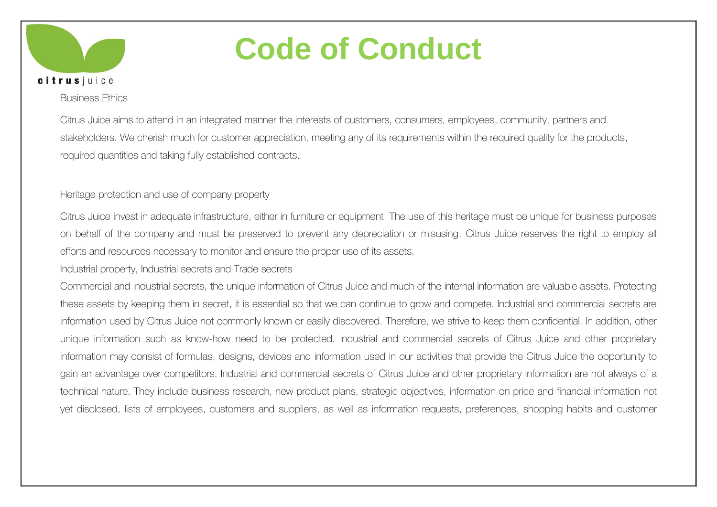

#### Business Ethics

Citrus Juice aims to attend in an integrated manner the interests of customers, consumers, employees, community, partners and stakeholders. We cherish much for customer appreciation, meeting any of its requirements within the required quality for the products, required quantities and taking fully established contracts.

#### Heritage protection and use of company property

Citrus Juice invest in adequate infrastructure, either in furniture or equipment. The use of this heritage must be unique for business purposes on behalf of the company and must be preserved to prevent any depreciation or misusing. Citrus Juice reserves the right to employ all efforts and resources necessary to monitor and ensure the proper use of its assets.

Industrial property, Industrial secrets and Trade secrets

Commercial and industrial secrets, the unique information of Citrus Juice and much of the internal information are valuable assets. Protecting these assets by keeping them in secret, it is essential so that we can continue to grow and compete. Industrial and commercial secrets are information used by Citrus Juice not commonly known or easily discovered. Therefore, we strive to keep them confidential. In addition, other unique information such as know-how need to be protected. Industrial and commercial secrets of Citrus Juice and other proprietary information may consist of formulas, designs, devices and information used in our activities that provide the Citrus Juice the opportunity to gain an advantage over competitors. Industrial and commercial secrets of Citrus Juice and other proprietary information are not always of a technical nature. They include business research, new product plans, strategic objectives, information on price and financial information not yet disclosed, lists of employees, customers and suppliers, as well as information requests, preferences, shopping habits and customer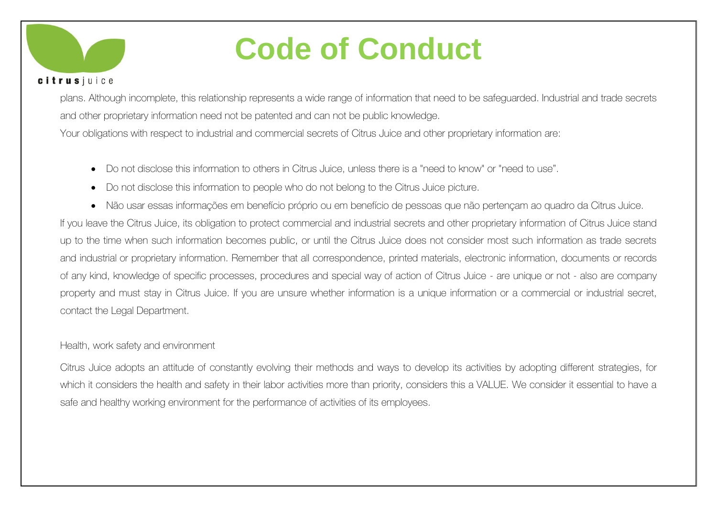

plans. Although incomplete, this relationship represents a wide range of information that need to be safeguarded. Industrial and trade secrets and other proprietary information need not be patented and can not be public knowledge. Your obligations with respect to industrial and commercial secrets of Citrus Juice and other proprietary information are:

- Do not disclose this information to others in Citrus Juice, unless there is a "need to know" or "need to use".
- Do not disclose this information to people who do not belong to the Citrus Juice picture.
- Não usar essas informações em benefício próprio ou em benefício de pessoas que não pertençam ao quadro da Citrus Juice. If you leave the Citrus Juice, its obligation to protect commercial and industrial secrets and other proprietary information of Citrus Juice stand up to the time when such information becomes public, or until the Citrus Juice does not consider most such information as trade secrets and industrial or proprietary information. Remember that all correspondence, printed materials, electronic information, documents or records of any kind, knowledge of specific processes, procedures and special way of action of Citrus Juice - are unique or not - also are company property and must stay in Citrus Juice. If you are unsure whether information is a unique information or a commercial or industrial secret, contact the Legal Department.

#### Health, work safety and environment

Citrus Juice adopts an attitude of constantly evolving their methods and ways to develop its activities by adopting different strategies, for which it considers the health and safety in their labor activities more than priority, considers this a VALUE. We consider it essential to have a safe and healthy working environment for the performance of activities of its employees.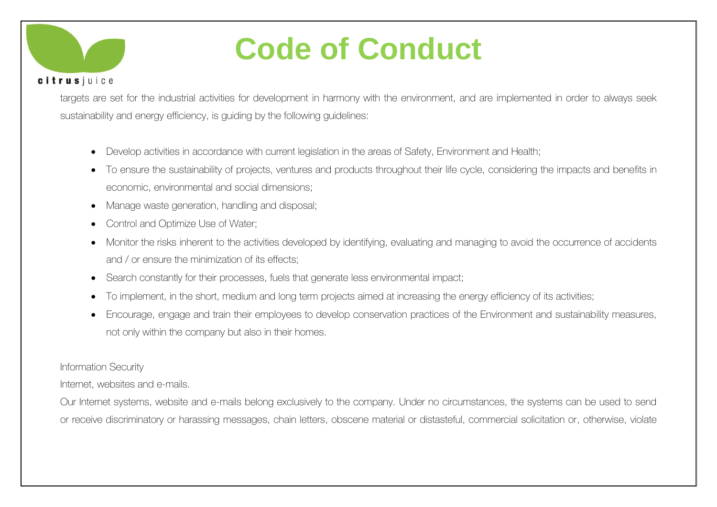

targets are set for the industrial activities for development in harmony with the environment, and are implemented in order to always seek sustainability and energy efficiency, is guiding by the following guidelines:

- Develop activities in accordance with current legislation in the areas of Safety, Environment and Health;
- To ensure the sustainability of projects, ventures and products throughout their life cycle, considering the impacts and benefits in economic, environmental and social dimensions;
- Manage waste generation, handling and disposal;
- Control and Optimize Use of Water;
- Monitor the risks inherent to the activities developed by identifying, evaluating and managing to avoid the occurrence of accidents and / or ensure the minimization of its effects;
- Search constantly for their processes, fuels that generate less environmental impact;
- To implement, in the short, medium and long term projects aimed at increasing the energy efficiency of its activities;
- Encourage, engage and train their employees to develop conservation practices of the Environment and sustainability measures, not only within the company but also in their homes.

#### Information Security

Internet, websites and e-mails.

Our Internet systems, website and e-mails belong exclusively to the company. Under no circumstances, the systems can be used to send or receive discriminatory or harassing messages, chain letters, obscene material or distasteful, commercial solicitation or, otherwise, violate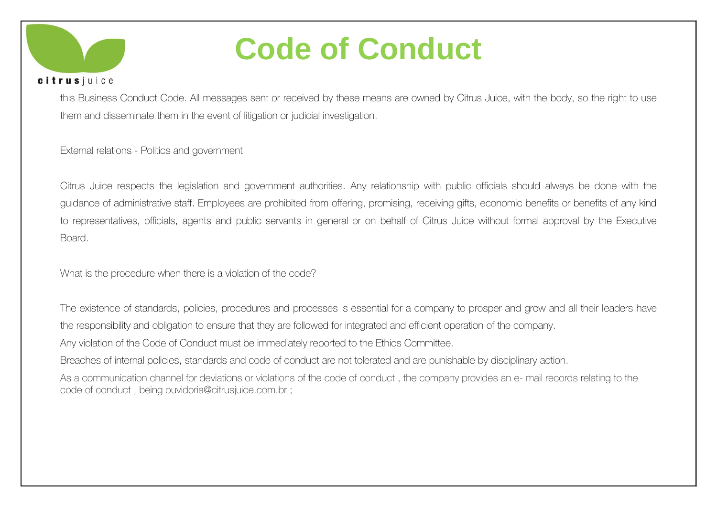

#### citrusjuice

this Business Conduct Code. All messages sent or received by these means are owned by Citrus Juice, with the body, so the right to use them and disseminate them in the event of litigation or judicial investigation.

External relations - Politics and government

Citrus Juice respects the legislation and government authorities. Any relationship with public officials should always be done with the guidance of administrative staff. Employees are prohibited from offering, promising, receiving gifts, economic benefits or benefits of any kind to representatives, officials, agents and public servants in general or on behalf of Citrus Juice without formal approval by the Executive Board.

What is the procedure when there is a violation of the code?

The existence of standards, policies, procedures and processes is essential for a company to prosper and grow and all their leaders have the responsibility and obligation to ensure that they are followed for integrated and efficient operation of the company.

Any violation of the Code of Conduct must be immediately reported to the Ethics Committee.

Breaches of internal policies, standards and code of conduct are not tolerated and are punishable by disciplinary action.

As a communication channel for deviations or violations of the code of conduct, the company provides an e- mail records relating to the code of conduct , being ouvidoria@citrusjuice.com.br ;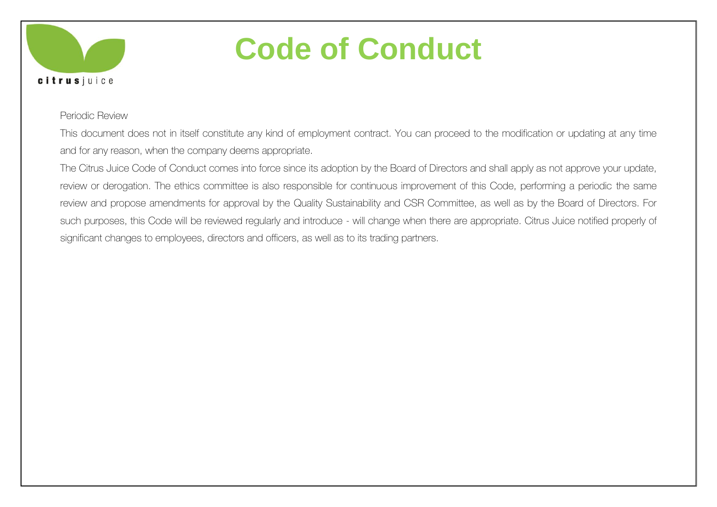

#### Periodic Review

This document does not in itself constitute any kind of employment contract. You can proceed to the modification or updating at any time and for any reason, when the company deems appropriate.

The Citrus Juice Code of Conduct comes into force since its adoption by the Board of Directors and shall apply as not approve your update, review or derogation. The ethics committee is also responsible for continuous improvement of this Code, performing a periodic the same review and propose amendments for approval by the Quality Sustainability and CSR Committee, as well as by the Board of Directors. For such purposes, this Code will be reviewed regularly and introduce - will change when there are appropriate. Citrus Juice notified properly of significant changes to employees, directors and officers, as well as to its trading partners.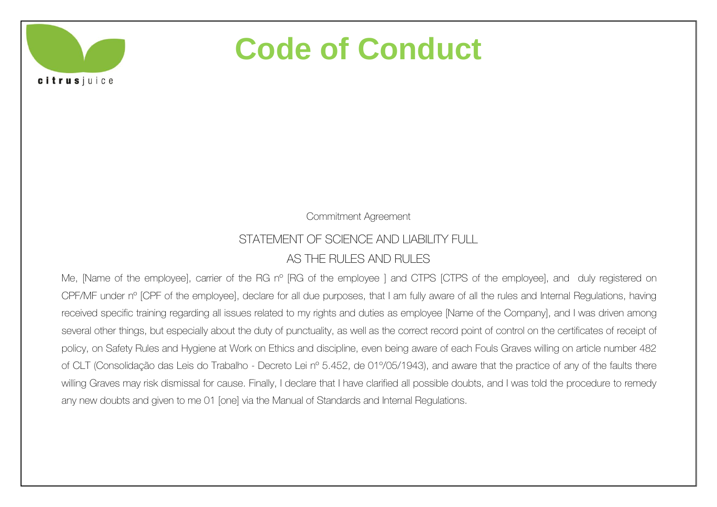citrusjuice

Commitment Agreement

### STATEMENT OF SCIENCE AND LIABILITY FULL

### AS THE RULES AND RULES

Me, [Name of the employee], carrier of the RG n° [RG of the employee ] and CTPS [CTPS of the employee], and duly registered on CPF/MF under nº [CPF of the employee], declare for all due purposes, that I am fully aware of all the rules and Internal Regulations, having received specific training regarding all issues related to my rights and duties as employee [Name of the Company], and I was driven among several other things, but especially about the duty of punctuality, as well as the correct record point of control on the certificates of receipt of policy, on Safety Rules and Hygiene at Work on Ethics and discipline, even being aware of each Fouls Graves willing on article number 482 of CLT (Consolidação das Leis do Trabalho - Decreto Lei nº 5.452, de 01º/05/1943), and aware that the practice of any of the faults there willing Graves may risk dismissal for cause. Finally, I declare that I have clarified all possible doubts, and I was told the procedure to remedy any new doubts and given to me 01 [one] via the Manual of Standards and Internal Regulations.